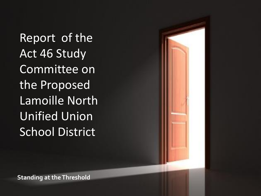Report of the Act 46 Study Committee on the Proposed Lamoille North Unified Union School District

**Standing at the Threshold**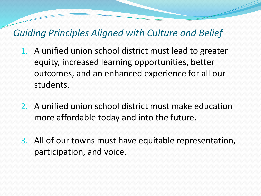### *Guiding Principles Aligned with Culture and Belief*

- 1. A unified union school district must lead to greater equity, increased learning opportunities, better outcomes, and an enhanced experience for all our students.
- 2. A unified union school district must make education more affordable today and into the future.
- 3. All of our towns must have equitable representation, participation, and voice.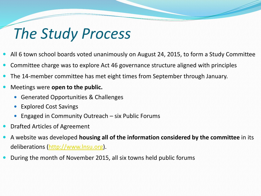### *The Study Process*

- All 6 town school boards voted unanimously on August 24, 2015, to form a Study Committee
- Committee charge was to explore Act 46 governance structure aligned with principles
- The 14-member committee has met eight times from September through January.
- Meetings were **open to the public.** 
	- Generated Opportunities & Challenges
	- Explored Cost Savings
	- Engaged in Community Outreach six Public Forums
- Drafted Articles of Agreement
- A website was developed **housing all of the information considered by the committee** in its deliberations [\(http://www.lnsu.org](http://www.lnsu.org/)).
- During the month of November 2015, all six towns held public forums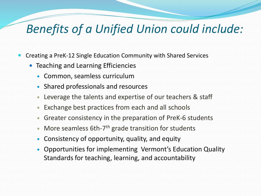### *Benefits of a Unified Union could include:*

- Creating a PreK-12 Single Education Community with Shared Services
	- Teaching and Learning Efficiencies
		- Common, seamless curriculum
		- Shared professionals and resources
		- Leverage the talents and expertise of our teachers & staff
		- Exchange best practices from each and all schools
		- Greater consistency in the preparation of PreK-6 students
		- More seamless 6th-7<sup>th</sup> grade transition for students
		- Consistency of opportunity, quality, and equity
		- Opportunities for implementing Vermont's Education Quality Standards for teaching, learning, and accountability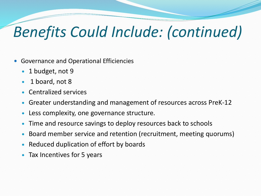## *Benefits Could Include: (continued)*

- Governance and Operational Efficiencies
	- 1 budget, not 9
	- 1 board, not 8
	- Centralized services
	- Greater understanding and management of resources across PreK-12
	- Less complexity, one governance structure.
	- Time and resource savings to deploy resources back to schools
	- Board member service and retention (recruitment, meeting quorums)
	- Reduced duplication of effort by boards
	- Tax Incentives for 5 years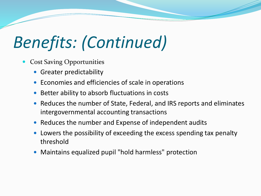## *Benefits: (Continued)*

- Cost Saving Opportunities
	- Greater predictability
	- Economies and efficiencies of scale in operations
	- Better ability to absorb fluctuations in costs
	- Reduces the number of State, Federal, and IRS reports and eliminates intergovernmental accounting transactions
	- Reduces the number and Expense of independent audits
	- Lowers the possibility of exceeding the excess spending tax penalty threshold
	- Maintains equalized pupil "hold harmless" protection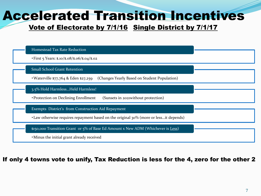### Accelerated Transition Incentives

#### Vote of Electorate by 7/1/16 Single District by 7/1/17



#### If only 4 towns vote to unify, Tax Reduction is less for the 4, zero for the other 2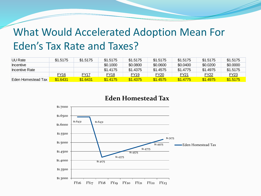### What Would Accelerated Adoption Mean For Eden's Tax Rate and Taxes?

| <b>UU Rate</b>     | \$1.5175 | \$1.5175 | \$1.5175         | \$1.5175    | \$1,5175    | \$1,5175 | \$1,5175    | \$1,5175 |
|--------------------|----------|----------|------------------|-------------|-------------|----------|-------------|----------|
| Incentive          |          |          | \$0.1000         | \$0.0800    | \$0.0600    | \$0.0400 | \$0.0200    | \$0.0000 |
| Incentive Rate     |          |          | \$1.4175         | \$1.4375    | \$1.4575    | \$1,4775 | \$1.4975    | \$1.5175 |
|                    | FY16     | FY17     | FY <sub>18</sub> | <b>FY19</b> | <b>FY20</b> | FY21     | <b>FY22</b> | FY23     |
| Eden Homestead Tax | \$1.6431 | \$1.6431 | \$1.4175         | \$1.4375    | \$1.4575    | \$1,4775 | \$1.4975    | \$1.5175 |

#### **Eden Homestead Tax**

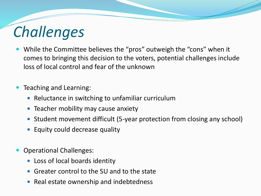## *Challenges*

- While the Committee believes the "pros" outweigh the "cons" when it comes to bringing this decision to the voters, potential challenges include loss of local control and fear of the unknown
- Teaching and Learning:
	- Reluctance in switching to unfamiliar curriculum
	- Teacher mobility may cause anxiety
	- Student movement difficult (5-year protection from closing any school)
	- Equity could decrease quality
- Operational Challenges:
	- Loss of local boards identity
	- Greater control to the SU and to the state
	- Real estate ownership and indebtedness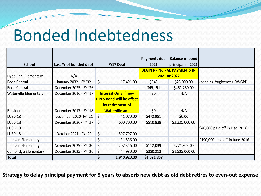## Bonded Indebtedness

|                              |                           |                                 | Payments due | <b>Balance of bond</b>             |                                 |
|------------------------------|---------------------------|---------------------------------|--------------|------------------------------------|---------------------------------|
| <b>School</b>                | Last Yr of bonded debt    | <b>FY17 Debt</b>                | 2021         | principal in 2021                  |                                 |
|                              |                           |                                 |              | <b>BEGIN PRINCIPAL PAYMENTS IN</b> |                                 |
| Hyde Park Elementary         | N/A                       |                                 |              | 2021 or 2022                       |                                 |
| <b>Eden Central</b>          | January 2032 - FY '32     | \$<br>17,491.00                 | \$645        | \$25,000.00                        | (pending forgiveness DWGPD)     |
| Eden Central                 | December 2035 - FY '36    |                                 | \$45,151     | \$461,250.00                       |                                 |
| <b>Waterville Elementary</b> | December 2016 - FY '17    | <b>Interest Only if new</b>     | \$0          | N/A                                |                                 |
|                              |                           | <b>HPES Bond will be offset</b> |              |                                    |                                 |
|                              |                           | by retirement of                |              |                                    |                                 |
| <b>Belvidere</b>             | December 2017 - FY '18    | <b>Waterville and</b>           | \$0          | N/A                                |                                 |
| LUSD <sub>18</sub>           | December 2020- FY '21     | <b>S</b><br>41,070.00           | \$472,981    | \$0.00                             |                                 |
| LUSD <sub>18</sub>           | December 2026 - FY '27 \$ | 600,700.00                      | \$510,838    | \$2,325,000.00                     |                                 |
| LUSD <sub>18</sub>           |                           |                                 |              |                                    | \$40,000 paid off in Dec. 2016  |
| LUSD <sub>18</sub>           | October 2021 - FY '22     | \$<br>597,797.00                |              |                                    |                                 |
| Johnson Elementary           |                           | 31,536.00                       |              |                                    | \$190,000 paid off in June 2016 |
| Johnson Elementary           | November 2029 - FY '30    | \$<br>207,346.00                | \$112,039    | \$771,923.00                       |                                 |
| Cambridge Elementary         | December 2025 - FY '26 \$ | 444,980.00                      | \$380,213    | \$1,525,000.00                     |                                 |
| Total                        |                           | 1,940,920.00                    | \$1,521,867  |                                    |                                 |

**Strategy to delay principal payment for 5 years to absorb new debt as old debt retires to even-out expense**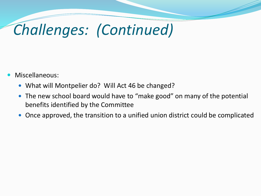## *Challenges: (Continued)*

- Miscellaneous:
	- What will Montpelier do? Will Act 46 be changed?
	- The new school board would have to "make good" on many of the potential benefits identified by the Committee
	- Once approved, the transition to a unified union district could be complicated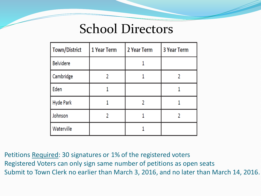### School Directors

| Town/District    | 1 Year Term | 2 Year Term | <b>3 Year Term</b> |  |
|------------------|-------------|-------------|--------------------|--|
| <b>Belvidere</b> |             |             |                    |  |
| Cambridge        |             |             |                    |  |
| Eden             |             |             |                    |  |
| <b>Hyde Park</b> |             |             |                    |  |
| Johnson          |             |             |                    |  |
| Waterville       |             |             |                    |  |

Petitions Required: 30 signatures or 1% of the registered voters Registered Voters can only sign same number of petitions as open seats Submit to Town Clerk no earlier than March 3, 2016, and no later than March 14, 2016.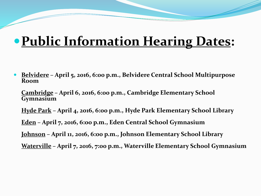### **Public Information Hearing Dates:**

 **Belvidere – April 5, 2016, 6:00 p.m., Belvidere Central School Multipurpose Room**

**Cambridge – April 6, 2016, 6:00 p.m., Cambridge Elementary School Gymnasium**

**Hyde Park – April 4, 2016, 6:00 p.m., Hyde Park Elementary School Library**

**Eden – April 7, 2016, 6:00 p.m., Eden Central School Gymnasium**

**Johnson – April 11, 2016, 6:00 p.m., Johnson Elementary School Library**

**Waterville – April 7, 2016, 7:00 p.m., Waterville Elementary School Gymnasium**